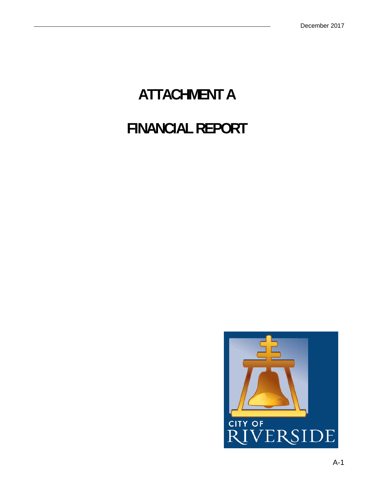# **ATTACHMENT A FINANCIAL REPORT**

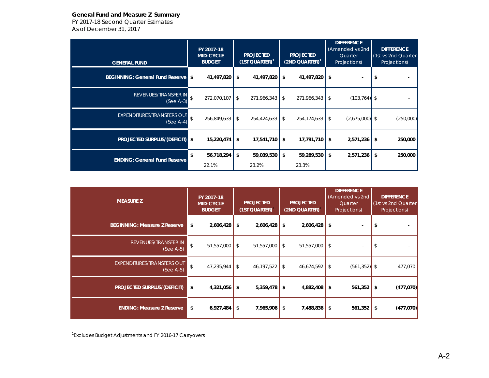# **General Fund and Measure Z Summary**

*FY 2017-18 Second Quarter Estimates As of December 31, 2017*

| <b>GENERAL FUND</b>                    | FY 2017-18<br><b>MID-CYCLE</b><br><b>BUDGET</b> | <b>PROJECTED</b><br>$(1ST QUARTER)^1$ | <b>PROJECTED</b><br>$(2ND QUARTER)^T$ | <b>DIFFERENCE</b><br>(Amended vs 2nd<br>Quarter<br>Projections) | <b>DIFFERENCE</b><br>(1st vs 2nd Quarter<br>Projections) |  |
|----------------------------------------|-------------------------------------------------|---------------------------------------|---------------------------------------|-----------------------------------------------------------------|----------------------------------------------------------|--|
| <b>BEGINNING: General Fund Reserve</b> | 41,497,820<br>\$                                | \$<br>41,497,820                      | \$<br>41,497,820                      | \$<br>$\blacksquare$                                            | \$                                                       |  |
| REVENUES/TRANSFER IN                   | \$                                              | \$                                    | 271,966,343                           | $(103, 764)$ \$                                                 |                                                          |  |
| $(See A-3)$                            | 272,070,107                                     | 271,966,343                           | \$                                    | \$                                                              |                                                          |  |
| <b>EXPENDITURES/TRANSFERS OUT</b>      | \$                                              | $\mathfrak{L}$                        | 254,174,633                           | $(2,675,000)$ \$                                                | (250,000)                                                |  |
| $(See A-4)$                            | 256,849,633                                     | 254,424,633                           | \$                                    | \$                                                              |                                                          |  |
| <b>PROJECTED SURPLUS/(DEFICIT)</b>     | \$                                              | \$                                    | 17,791,710                            | \$                                                              | \$                                                       |  |
|                                        | 15,220,474                                      | 17,541,710                            | -\$                                   | 2,571,236                                                       | 250,000                                                  |  |
| <b>ENDING: General Fund Reserve</b>    | 56,718,294                                      | \$                                    | \$                                    | 2,571,236                                                       | 250,000                                                  |  |
|                                        | \$                                              | 59,039,530                            | 59,289,530                            | \$                                                              | \$                                                       |  |
|                                        | 22.1%                                           | 23.2%                                 | 23.3%                                 |                                                                 |                                                          |  |

| <b>MEASURE Z</b>                                 |    | FY 2017-18<br><b>MID-CYCLE</b><br><b>BUDGET</b> |            | <b>PROJECTED</b><br>(1ST QUARTER) |    | <b>PROJECTED</b><br>(2ND QUARTER) |  | <b>DIFFERENCE</b><br>(Amended vs 2nd<br>Quarter<br>Projections) |      | <b>DIFFERENCE</b><br>(1st vs 2nd Quarter<br>Projections) |  |
|--------------------------------------------------|----|-------------------------------------------------|------------|-----------------------------------|----|-----------------------------------|--|-----------------------------------------------------------------|------|----------------------------------------------------------|--|
| <b>BEGINNING: Measure Z Reserve</b>              | \$ | 2,606,428                                       | \$         | 2,606,428                         | \$ | $2,606,428$ \$                    |  |                                                                 |      |                                                          |  |
| REVENUES/TRANSFER IN<br>$(See A-5)$              | \$ | 51,557,000                                      | $\sqrt{S}$ | 51,557,000                        | \$ | $51,557,000$ \$                   |  | $\bar{a}$                                                       |      |                                                          |  |
| <b>EXPENDITURES/TRANSFERS OUT</b><br>$(See A-5)$ | \$ | 47,235,944                                      | \$         | 46, 197, 522                      | \$ | $46,674,592$ \$                   |  | $(561, 352)$ \$                                                 |      | 477,070                                                  |  |
| PROJECTED SURPLUS/(DEFICIT)                      | \$ | 4,321,056                                       | \$         | 5,359,478                         | \$ | $4,882,408$ \$                    |  | $561,352$ \$                                                    |      | (477, 070)                                               |  |
| <b>ENDING: Measure Z Reserve</b>                 | \$ | 6,927,484                                       | \$         | 7,965,906                         | \$ | $7,488,836$ \$                    |  | 561,352                                                         | l \$ | (477, 070)                                               |  |

<sup>1</sup>Excludes Budget Adjustments and FY 2016-17 Carryovers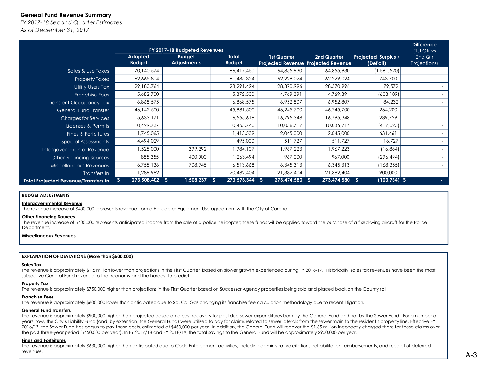# **General Fund Revenue Summary**

*FY 2017-18 Second Quarter EstimatesAs of December 31, 2017*

|                                             |                                 | FY 2017-18 Budgeted Revenues        |                               |                                                           |                   |                                  | <b>Difference</b><br>(1st Qtr vs |
|---------------------------------------------|---------------------------------|-------------------------------------|-------------------------------|-----------------------------------------------------------|-------------------|----------------------------------|----------------------------------|
|                                             | <b>Adopted</b><br><b>Budget</b> | <b>Budget</b><br><b>Adjustments</b> | <b>Total</b><br><b>Budget</b> | <b>1st Quarter</b><br>Projected Revenue Projected Revenue | 2nd Quarter       | Projected Surplus /<br>(Deficit) | 2nd Qtr<br>Projections)          |
| Sales & Use Taxes                           | 70,140,574                      |                                     | 66,417,450                    | 64,855,930                                                | 64,855,930        | (1, 561, 520)                    |                                  |
| <b>Property Taxes</b>                       | 62,665,814                      |                                     | 61,485,324                    | 62,229,024                                                | 62,229,024        | 743,700                          |                                  |
| <b>Utility Users Tax</b>                    | 29,180,764                      |                                     | 28,291,424                    | 28,370,996                                                | 28,370,996        | 79,572                           |                                  |
| <b>Franchise Fees</b>                       | 5,682,700                       |                                     | 5,372,500                     | 4,769,391                                                 | 4,769,391         | (603, 109)                       |                                  |
| <b>Transient Occupancy Tax</b>              | 6,868,575                       |                                     | 6,868,575                     | 6,952,807                                                 | 6,952,807         | 84,232                           |                                  |
| <b>General Fund Transfer</b>                | 46,142,500                      |                                     | 45,981,500                    | 46,245,700                                                | 46,245,700        | 264,200                          |                                  |
| <b>Charges for Services</b>                 | 15,633,171                      |                                     | 16,555,619                    | 16,795,348                                                | 16,795,348        | 239,729                          |                                  |
| Licenses & Permits                          | 10,499,737                      |                                     | 10,453,740                    | 10,036,717                                                | 10,036,717        | (417,023)                        |                                  |
| Fines & Forfeitures                         | ,745,065                        |                                     | 1,413,539                     | 2,045,000                                                 | 2,045,000         | 631,461                          |                                  |
| <b>Special Assessments</b>                  | 4,494,029                       |                                     | 495,000                       | 511,727                                                   | 511,727           | 16,727                           |                                  |
| Intergovernmental Revenue                   | ,525,000                        | 399,292                             | ,984,107                      | 1,967,223                                                 | 1,967,223         | (16,884)                         |                                  |
| <b>Other Financing Sources</b>              | 885,355                         | 400,000                             | 1,263,494                     | 967,000                                                   | 967,000           | (296, 494)                       |                                  |
| Miscellaneous Revenues                      | 6,755,136                       | 708,945                             | 6,513,668                     | 6,345,313                                                 | 6,345,313         | (168, 355)                       | $\sim$                           |
| Transfers In                                | 11,289,982                      |                                     | 20,482,404                    | 21,382,404                                                | 21,382,404        | 900,000                          |                                  |
| <b>Total Projected Revenue/Transfers In</b> | 273,508,402                     | 1,508,237<br>-S                     | 273,578,344<br>-S             | 273,474,580<br>-S                                         | 273,474,580<br>-S | $(103,764)$ \$<br>్వ             |                                  |

# **BUDGET ADJUSTMENTS**

# **Intergovernmental Revenue**

The revenue increase of \$400,000 represents revenue from a Helicopter Equipment Use agreement with the City of Corona.

# **Other Financing Sources**

The revenue increase of \$400,000 represents anticipated income from the sale of a police helicopter; these funds will be applied toward the purchase of a fixed-wing aircraft for the Police Department.

# **Miscellaneous Revenues**

#### **EXPLANATION OF DEVIATIONS (More than \$500,000)**

#### **Sales Tax**

 The revenue is approximately \$1.5 million lower than projections in the First Quarter, based on slower growth experienced during FY 2016-17. Historically, sales tax revenues have been the most subjective General Fund revenue to the economy and the hardest to predict.

# **Property Tax**

The revenue is approximately \$750,000 higher than projections in the First Quarter based on Successor Agency properties being sold and placed back on the County roll.

### **Franchise Fees**

The revenue is approximately \$600,000 lower than anticipated due to So. Cal Gas changing its franchise fee calculation methodology due to recent litigation.

# **General Fund Transfers**

 The revenue is approximately \$900,000 higher than projected based on a cost recovery for past due sewer expenditures born by the General Fund and not by the Sewer Fund. For a number of years now, the City's Liability Fund (and, by extension, the General Fund) were utilized to pay for claims related to sewer laterals from the sewer main to the resident's property line. Effective FY 2016/17, the Sewer Fund has begun to pay these costs, estimated at \$450,000 per year. In addition, the General Fund will recover the \$1.35 million incorrectly charged there for these claims over the past three-year period (\$450,000 per year). In FY 2017/18 and FY 2018/19, the total savings to the General Fund will be approximately \$900,000 per year.

#### **Fines and Forfeitures**

The revenue is approximately \$630,000 higher than anticipated due to Code Enforcement activities, including administrative citations, rehabilitation reimbursements, and receipt of deferred revenues.and the contract of the contract of the contract of the contract of the contract of the contract of the contract of the contract of the contract of the contract of the contract of the contract of the contract of the contra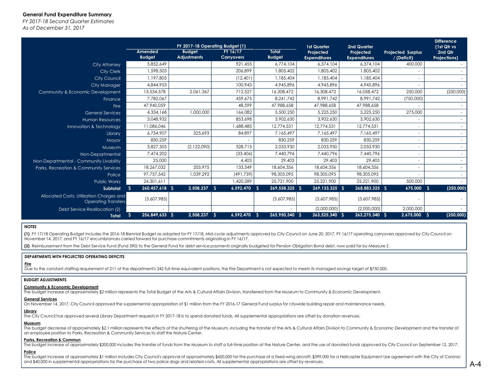# **General Fund Expenditure Summary**

*FY 2017-18 Second Quarter EstimatesAs of December 31, 2017*

|                                                                        |                            | FY 2017-18 Operating Budget (1)     |                               |                               | <b>1st Quarter</b>               | <b>2nd Quarter</b>               |                                         | <b>Difference</b><br>(1st Qtr vs |  |
|------------------------------------------------------------------------|----------------------------|-------------------------------------|-------------------------------|-------------------------------|----------------------------------|----------------------------------|-----------------------------------------|----------------------------------|--|
|                                                                        | Amended<br><b>Budget</b>   | <b>Budget</b><br><b>Adjustments</b> | FY 16/17<br><b>Carryovers</b> | <b>Total</b><br><b>Budget</b> | Projected<br><b>Expenditures</b> | Projected<br><b>Expenditures</b> | <b>Projected Surplus</b><br>/ (Deficit) | 2nd Qtr<br><b>Projections)</b>   |  |
| <b>City Attorney</b>                                                   | 5,852,649                  |                                     | 921.455                       | 6,774,104                     | 6,374,104                        | 6.374.104                        | 400,000                                 |                                  |  |
| <b>City Clerk</b>                                                      | 1,598,503                  |                                     | 206,899                       | 1,805,402                     | 1,805,402                        | 1,805,402                        |                                         |                                  |  |
| <b>City Council</b>                                                    | 1,197,805                  |                                     | (12, 401)                     | 1,185,404                     | 1,185,404                        | 1,185,404                        |                                         |                                  |  |
| City Manager                                                           | 4,844,953                  |                                     | 100,943                       | 4,945,896                     | 4,945,896                        | 4,945,896                        |                                         |                                  |  |
| Community & Economic Development                                       | 13,534,578                 | 2,061,367                           | 712,527                       | 16,308,472                    | 16,308,472                       | 16,058,472                       | 250,000                                 | (250,000)                        |  |
| Finance                                                                | 7,782,067                  |                                     | 459,675                       | 8.241.742                     | 8.991.742                        | 8.991.742                        | (750,000)                               |                                  |  |
| Fire                                                                   | 47,940,059                 |                                     | 48,599                        | 47,988,658                    | 47.988.658                       | 47,988,658                       |                                         |                                  |  |
| <b>General Services</b>                                                | 4,334,168                  | 1,000,000                           | 166.082                       | 5,500,250                     | 5,225,250                        | 5,225,250                        | 275,000                                 |                                  |  |
| <b>Human Resources</b>                                                 | 3.048.932                  |                                     | 853,698                       | 3,902,630                     | 3,902,630                        | 3,902,630                        |                                         |                                  |  |
| Innovation & Technology                                                | 11.086.046                 |                                     | .688.485                      | 12,774,531                    | 12,774,531                       | 12,774,531                       |                                         |                                  |  |
| <b>Library</b>                                                         | 6,754,907                  | 325,693                             | 84,897                        | 7,165,497                     | 7,165,497                        | 7,165,497                        |                                         |                                  |  |
| Mayor                                                                  | 830,259                    |                                     |                               | 830,259                       | 830,259                          | 830,259                          |                                         |                                  |  |
| Museum                                                                 | 3,827,305                  | (2,122,090)                         | 328,715                       | 2,033,930                     | 2,033,930                        | 2,033,930                        |                                         |                                  |  |
| Non-Departmental                                                       | 7,474,202                  |                                     | (33, 406)                     | 7,440,796                     | 7,440,796                        | 7,440,796                        |                                         |                                  |  |
| Non-Departmental - Community Livability                                | 25,000                     |                                     | 4.403                         | 29,403                        | 29,403                           | 29,403                           |                                         |                                  |  |
| Parks, Recreation & Community Services                                 | 18,267,032                 | 203.975                             | 133,349                       | 18,604,356                    | 18,604,356                       | 18,604,356                       |                                         |                                  |  |
| Police                                                                 | 97,757,542                 | 1,039,292                           | (491, 739)                    | 98,305,095                    | 98,305,095                       | 98.305.095                       |                                         |                                  |  |
| <b>Public Works</b>                                                    | 24.301.611                 |                                     | 1,420,289                     | 25,721,900                    | 25.221.900                       | 25.221.900                       | 500,000                                 |                                  |  |
| Subtotal                                                               | 260,457,618 \$<br><b>S</b> | 2,508,237                           | - S<br>6,592,470 S            | 269,558,325 \$                | 269, 133, 325 \$                 | 268,883,325 \$                   | 675,000                                 | (250,000)<br>-S                  |  |
| Allocated Costs, Utilization Charges and<br><b>Operating Transfers</b> | (3,607,985)                |                                     |                               | (3,607,985)                   | (3,607,985)                      | (3,607,985)                      |                                         |                                  |  |
| Debt Service Reallocation (2)                                          |                            |                                     |                               |                               | (2,000,000)                      | (2,000,000)                      | 2,000,000                               |                                  |  |
| <b>Total</b>                                                           | 256,849,633 \$<br>.s       | 2,508,237                           | 6,592,470<br>- S              | 265,950,340 \$<br>- S         | 263,525,340 \$                   | 263,275,340 \$                   | 2,675,000                               | (250,000)<br>-S                  |  |

# **NOTES**

**(1)** FY 17/18 Operating Budget includes the 2016-18 Biennial Budget as adopted for FY 17/18, Mid-cycle adjustments approved by City Council on June 20, 2017, FY 16/17 operating carryovers approved by City Council on November 14, 2017, and FY 16/17 encumbrances carried forward for purchase commitments originating in FY 16/17.

**(2)** Reimbursement from the Debt Service Fund (Fund 390) to the General Fund for debt service payments originally budgeted for Pension Obligation Bond debt, now paid for by Measure Z.

#### **DEPARTMENTS WITH PROJECTED OPERATING DEFICITS**

# **Fire**

Due to the constant staffing requirement of 211 of the department's 242 full-time equivalent positions, the Fire Department is not expected to meets its managed savings target of \$750,000.

# **BUDGET ADJUSTMENTS**

# **Community & Economic Development**

The budget increase of approximately \$2 million represents the Total Budget of the Arts & Cultural Affairs Division, transferred from the Museum to Community & Economic Development.

# **General Services**

On November 14, 2017, City Council approved the supplemental appropriation of \$1 million from the FY 2016-17 General Fund surplus for citywide building repair and maintenance needs.

#### **Library**

The City Council has approved several Library Department requests in FY 2017-18 b to spend donated funds. All supplemental appropriations are offset by donation revenues.

# **Museum**

The budget decrease of approximately \$2.1 million represents the effects of the shuttering of the Museum, including the transfer of the Arts & Cultural Affairs Division to Community & Economic Development and the transfer an employee position to Parks, Recreation & Community Services to staff the Nature Center.

# **Parks, Recreation & Commun**

The budget increase of approximately \$200,000 includes the transfer of funds from the Museum to staff a full-time position at the Nature Center, and the use of donated funds approved by City Council on September 12, 2017.

# **Police**

The budget increase of approximately \$1 million includes City Council's approval of approximately \$600,000 for the purchase of a fixed-wing aircraft; \$399,000 for a Helicopter Equipment Use agreement with the City of Coron and \$40,000 in supplemental appropriations for the purchase of two police dogs and related costs. All supplemental appropriations are offset by revenues.